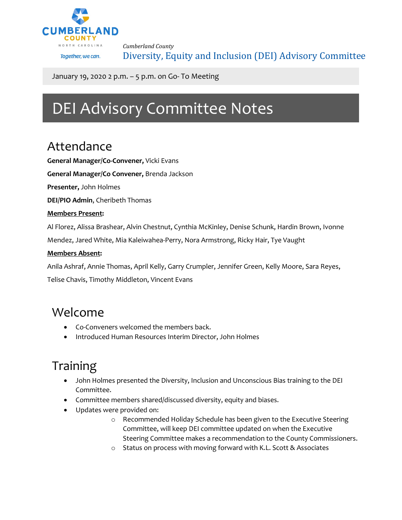

*Cumberland County* Diversity, Equity and Inclusion (DEI) Advisory Committee

January 19, 2020 2 p.m. – 5 p.m. on Go- To Meeting

# DEI Advisory Committee Notes

### Attendance

**General Manager/Co-Convener,** Vicki Evans

**General Manager/Co Convener,** Brenda Jackson

**Presenter,** John Holmes

**DEI/PIO Admin**, Cheribeth Thomas

#### **Members Present:**

Al Florez, Alissa Brashear, Alvin Chestnut, Cynthia McKinley, Denise Schunk, Hardin Brown, Ivonne

Mendez, Jared White, Mia Kaleiwahea-Perry, Nora Armstrong, Ricky Hair, Tye Vaught

#### **Members Absent:**

Anila Ashraf, Annie Thomas, April Kelly, Garry Crumpler, Jennifer Green, Kelly Moore, Sara Reyes,

Telise Chavis, Timothy Middleton, Vincent Evans

### Welcome

- Co-Conveners welcomed the members back.
- Introduced Human Resources Interim Director, John Holmes

## Training

- John Holmes presented the Diversity, Inclusion and Unconscious Bias training to the DEI Committee.
- Committee members shared/discussed diversity, equity and biases.
- Updates were provided on:
	- o Recommended Holiday Schedule has been given to the Executive Steering Committee, will keep DEI committee updated on when the Executive Steering Committee makes a recommendation to the County Commissioners.
	- o Status on process with moving forward with K.L. Scott & Associates